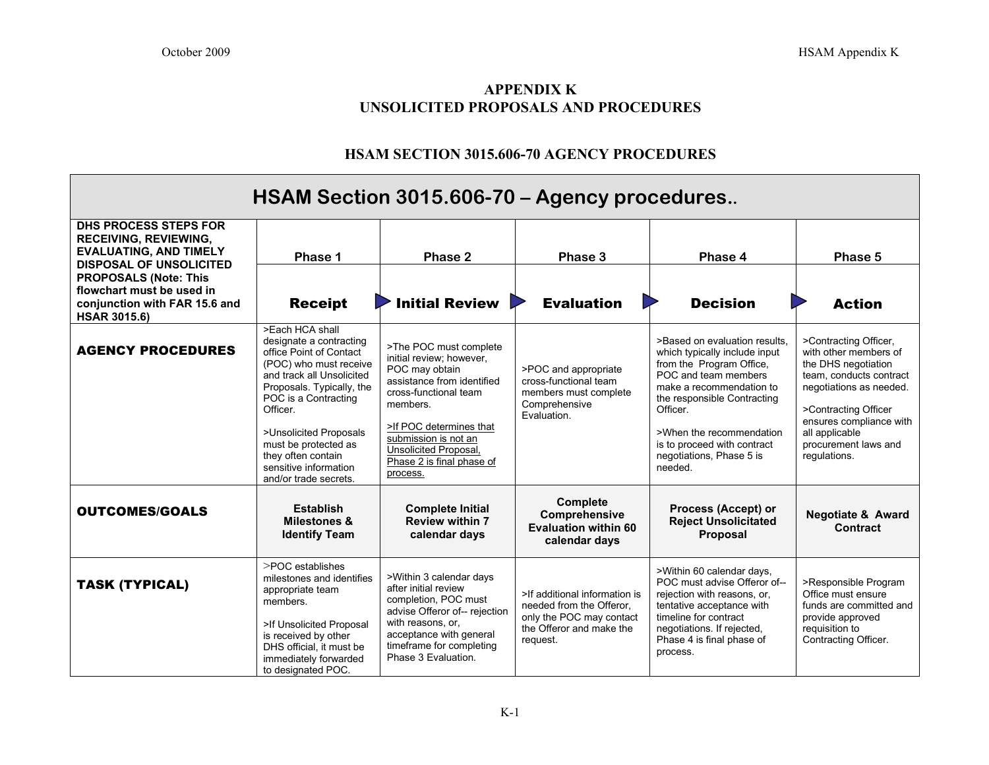## **APPENDIX K UNSOLICITED PROPOSALS AND PROCEDURES**

## **HSAM SECTION 3015.606-70 AGENCY PROCEDURES**

| HSAM Section 3015.606-70 – Agency procedures                                                                                    |                                                                                                                                                                                                                                                                                                                         |                                                                                                                                                                                                                                                                     |                                                                                                                               |                                                                                                                                                                                                                                                                                             |                                                                                                                                                                                                                                          |  |  |  |  |
|---------------------------------------------------------------------------------------------------------------------------------|-------------------------------------------------------------------------------------------------------------------------------------------------------------------------------------------------------------------------------------------------------------------------------------------------------------------------|---------------------------------------------------------------------------------------------------------------------------------------------------------------------------------------------------------------------------------------------------------------------|-------------------------------------------------------------------------------------------------------------------------------|---------------------------------------------------------------------------------------------------------------------------------------------------------------------------------------------------------------------------------------------------------------------------------------------|------------------------------------------------------------------------------------------------------------------------------------------------------------------------------------------------------------------------------------------|--|--|--|--|
| <b>DHS PROCESS STEPS FOR</b><br><b>RECEIVING, REVIEWING,</b><br><b>EVALUATING, AND TIMELY</b><br><b>DISPOSAL OF UNSOLICITED</b> | Phase 1                                                                                                                                                                                                                                                                                                                 | Phase 2                                                                                                                                                                                                                                                             | Phase 3                                                                                                                       | Phase 4                                                                                                                                                                                                                                                                                     | Phase 5                                                                                                                                                                                                                                  |  |  |  |  |
| <b>PROPOSALS (Note: This</b><br>flowchart must be used in<br>conjunction with FAR 15.6 and<br><b>HSAR 3015.6)</b>               | <b>Receipt</b>                                                                                                                                                                                                                                                                                                          | <b>Initial Review</b>                                                                                                                                                                                                                                               | <b>Evaluation</b>                                                                                                             | <b>Decision</b>                                                                                                                                                                                                                                                                             | <b>Action</b>                                                                                                                                                                                                                            |  |  |  |  |
| <b>AGENCY PROCEDURES</b>                                                                                                        | >Each HCA shall<br>designate a contracting<br>office Point of Contact<br>(POC) who must receive<br>and track all Unsolicited<br>Proposals. Typically, the<br>POC is a Contracting<br>Officer.<br>>Unsolicited Proposals<br>must be protected as<br>they often contain<br>sensitive information<br>and/or trade secrets. | >The POC must complete<br>initial review; however,<br>POC may obtain<br>assistance from identified<br>cross-functional team<br>members.<br>>If POC determines that<br>submission is not an<br><b>Unsolicited Proposal.</b><br>Phase 2 is final phase of<br>process. | >POC and appropriate<br>cross-functional team<br>members must complete<br>Comprehensive<br><b>Fvaluation</b>                  | >Based on evaluation results.<br>which typically include input<br>from the Program Office,<br>POC and team members<br>make a recommendation to<br>the responsible Contracting<br>Officer.<br>>When the recommendation<br>is to proceed with contract<br>negotiations, Phase 5 is<br>needed. | >Contracting Officer,<br>with other members of<br>the DHS negotiation<br>team, conducts contract<br>negotiations as needed.<br>>Contracting Officer<br>ensures compliance with<br>all applicable<br>procurement laws and<br>regulations. |  |  |  |  |
| <b>OUTCOMES/GOALS</b>                                                                                                           | <b>Establish</b><br><b>Milestones &amp;</b><br><b>Identify Team</b>                                                                                                                                                                                                                                                     | <b>Complete Initial</b><br><b>Review within 7</b><br>calendar days                                                                                                                                                                                                  | Complete<br>Comprehensive<br><b>Evaluation within 60</b><br>calendar days                                                     | Process (Accept) or<br><b>Reject Unsolicitated</b><br><b>Proposal</b>                                                                                                                                                                                                                       | <b>Negotiate &amp; Award</b><br>Contract                                                                                                                                                                                                 |  |  |  |  |
| <b>TASK (TYPICAL)</b>                                                                                                           | >POC establishes<br>milestones and identifies<br>appropriate team<br>members.<br>>If Unsolicited Proposal<br>is received by other<br>DHS official, it must be<br>immediately forwarded<br>to designated POC.                                                                                                            | >Within 3 calendar days<br>after initial review<br>completion, POC must<br>advise Offeror of-- rejection<br>with reasons, or,<br>acceptance with general<br>timeframe for completing<br>Phase 3 Evaluation.                                                         | >If additional information is<br>needed from the Offeror,<br>only the POC may contact<br>the Offeror and make the<br>request. | >Within 60 calendar days,<br>POC must advise Offeror of--<br>rejection with reasons, or,<br>tentative acceptance with<br>timeline for contract<br>negotiations. If rejected,<br>Phase 4 is final phase of<br>process.                                                                       | >Responsible Program<br>Office must ensure<br>funds are committed and<br>provide approved<br>requisition to<br>Contracting Officer.                                                                                                      |  |  |  |  |